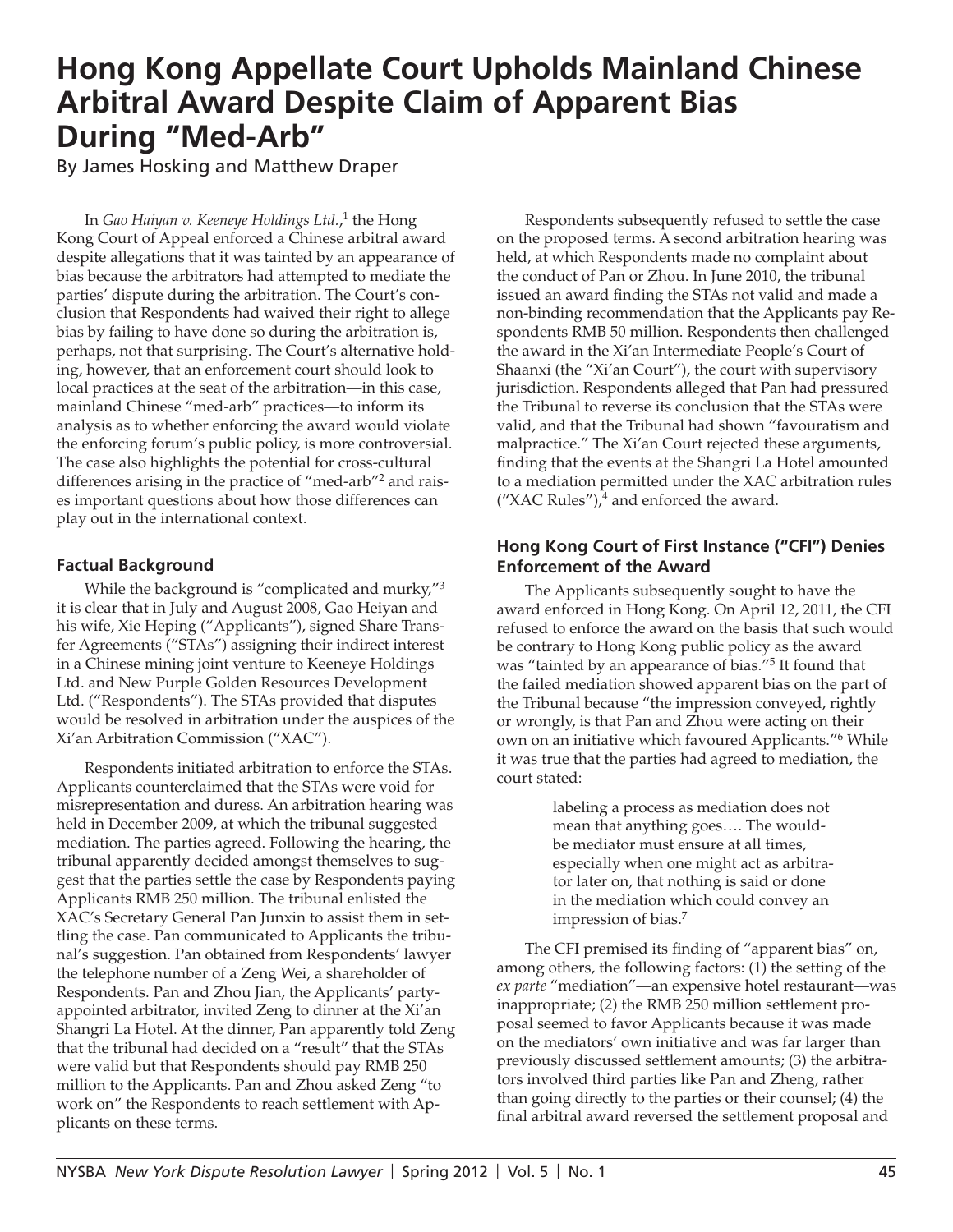# **Hong Kong Appellate Court Upholds Mainland Chinese Arbitral Award Despite Claim of Apparent Bias During "Med-Arb"**

By James Hosking and Matthew Draper

In *Gao Haiyan v. Keeneye Holdings Ltd.*, 1 the Hong Kong Court of Appeal enforced a Chinese arbitral award despite allegations that it was tainted by an appearance of bias because the arbitrators had attempted to mediate the parties' dispute during the arbitration. The Court's conclusion that Respondents had waived their right to allege bias by failing to have done so during the arbitration is, perhaps, not that surprising. The Court's alternative holding, however, that an enforcement court should look to local practices at the seat of the arbitration—in this case, mainland Chinese "med-arb" practices—to inform its analysis as to whether enforcing the award would violate the enforcing forum's public policy, is more controversial. The case also highlights the potential for cross-cultural differences arising in the practice of "med-arb"<sup>2</sup> and raises important questions about how those differences can play out in the international context.

# **Factual Background**

While the background is "complicated and murky,"<sup>3</sup> it is clear that in July and August 2008, Gao Heiyan and his wife, Xie Heping ("Applicants"), signed Share Transfer Agreements ("STAs") assigning their indirect interest in a Chinese mining joint venture to Keeneye Holdings Ltd. and New Purple Golden Resources Development Ltd. ("Respondents"). The STAs provided that disputes would be resolved in arbitration under the auspices of the Xi'an Arbitration Commission ("XAC").

Respondents initiated arbitration to enforce the STAs. Applicants counterclaimed that the STAs were void for misrepresentation and duress. An arbitration hearing was held in December 2009, at which the tribunal suggested mediation. The parties agreed. Following the hearing, the tribunal apparently decided amongst themselves to suggest that the parties settle the case by Respondents paying Applicants RMB 250 million. The tribunal enlisted the XAC's Secretary General Pan Junxin to assist them in settling the case. Pan communicated to Applicants the tribunal's suggestion. Pan obtained from Respondents' lawyer the telephone number of a Zeng Wei, a shareholder of Respondents. Pan and Zhou Jian, the Applicants' partyappointed arbitrator, invited Zeng to dinner at the Xi'an Shangri La Hotel. At the dinner, Pan apparently told Zeng that the tribunal had decided on a "result" that the STAs were valid but that Respondents should pay RMB 250 million to the Applicants. Pan and Zhou asked Zeng "to work on" the Respondents to reach settlement with Applicants on these terms.

Respondents subsequently refused to settle the case on the proposed terms. A second arbitration hearing was held, at which Respondents made no complaint about the conduct of Pan or Zhou. In June 2010, the tribunal issued an award finding the STAs not valid and made a non-binding recommendation that the Applicants pay Respondents RMB 50 million. Respondents then challenged the award in the Xi'an Intermediate People's Court of Shaanxi (the "Xi'an Court"), the court with supervisory jurisdiction. Respondents alleged that Pan had pressured the Tribunal to reverse its conclusion that the STAs were valid, and that the Tribunal had shown "favouratism and malpractice." The Xi'an Court rejected these arguments, finding that the events at the Shangri La Hotel amounted to a mediation permitted under the XAC arbitration rules  $({}^\prime$ XAC Rules"),<sup>4</sup> and enforced the award.

## **Hong Kong Court of First Instance ("CFI") Denies Enforcement of the Award**

The Applicants subsequently sought to have the award enforced in Hong Kong. On April 12, 2011, the CFI refused to enforce the award on the basis that such would be contrary to Hong Kong public policy as the award was "tainted by an appearance of bias."<sup>5</sup> It found that the failed mediation showed apparent bias on the part of the Tribunal because "the impression conveyed, rightly or wrongly, is that Pan and Zhou were acting on their own on an initiative which favoured Applicants."<sup>6</sup> While it was true that the parties had agreed to mediation, the court stated:

> labeling a process as mediation does not mean that anything goes…. The wouldbe mediator must ensure at all times, especially when one might act as arbitrator later on, that nothing is said or done in the mediation which could convey an impression of bias.<sup>7</sup>

The CFI premised its finding of "apparent bias" on, among others, the following factors: (1) the setting of the *ex parte* "mediation"—an expensive hotel restaurant—was inappropriate; (2) the RMB 250 million settlement proposal seemed to favor Applicants because it was made on the mediators' own initiative and was far larger than previously discussed settlement amounts; (3) the arbitrators involved third parties like Pan and Zheng, rather than going directly to the parties or their counsel; (4) the final arbitral award reversed the settlement proposal and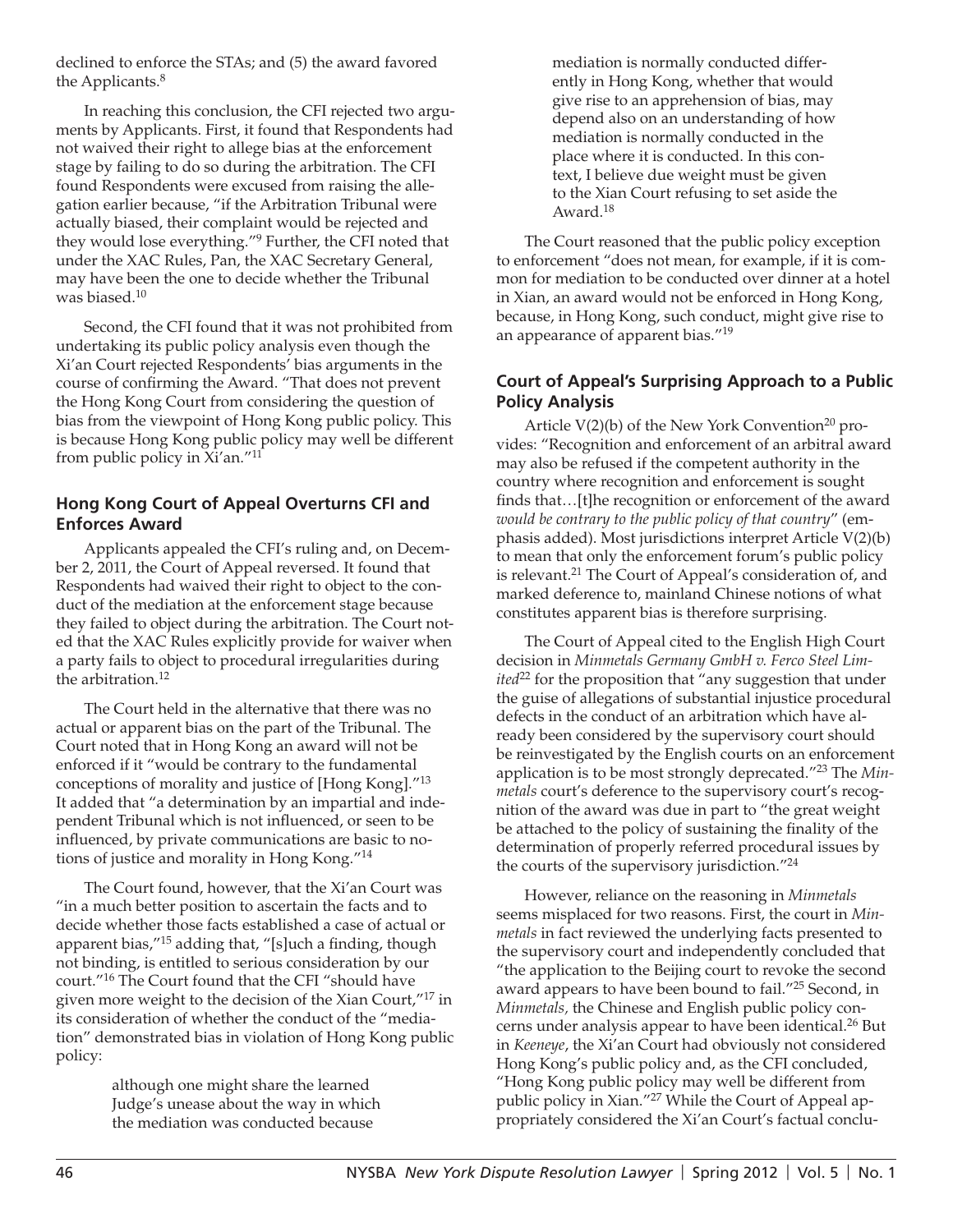declined to enforce the STAs; and (5) the award favored the Applicants.<sup>8</sup>

In reaching this conclusion, the CFI rejected two arguments by Applicants. First, it found that Respondents had not waived their right to allege bias at the enforcement stage by failing to do so during the arbitration. The CFI found Respondents were excused from raising the allegation earlier because, "if the Arbitration Tribunal were actually biased, their complaint would be rejected and they would lose everything."<sup>9</sup> Further, the CFI noted that under the XAC Rules, Pan, the XAC Secretary General, may have been the one to decide whether the Tribunal was biased.<sup>10</sup>

Second, the CFI found that it was not prohibited from undertaking its public policy analysis even though the Xi'an Court rejected Respondents' bias arguments in the course of confirming the Award. "That does not prevent the Hong Kong Court from considering the question of bias from the viewpoint of Hong Kong public policy. This is because Hong Kong public policy may well be different from public policy in Xi'an."<sup>11</sup>

# **Hong Kong Court of Appeal Overturns CFI and Enforces Award**

Applicants appealed the CFI's ruling and, on December 2, 2011, the Court of Appeal reversed. It found that Respondents had waived their right to object to the conduct of the mediation at the enforcement stage because they failed to object during the arbitration. The Court noted that the XAC Rules explicitly provide for waiver when a party fails to object to procedural irregularities during the arbitration.<sup>12</sup>

The Court held in the alternative that there was no actual or apparent bias on the part of the Tribunal. The Court noted that in Hong Kong an award will not be enforced if it "would be contrary to the fundamental conceptions of morality and justice of [Hong Kong]."<sup>13</sup> It added that "a determination by an impartial and independent Tribunal which is not influenced, or seen to be influenced, by private communications are basic to notions of justice and morality in Hong Kong."<sup>14</sup>

The Court found, however, that the Xi'an Court was "in a much better position to ascertain the facts and to decide whether those facts established a case of actual or apparent bias," $15$  adding that, "[s]uch a finding, though not binding, is entitled to serious consideration by our court."16 The Court found that the CFI "should have given more weight to the decision of the Xian Court,"17 in its consideration of whether the conduct of the "mediation" demonstrated bias in violation of Hong Kong public policy:

> although one might share the learned Judge's unease about the way in which the mediation was conducted because

mediation is normally conducted differently in Hong Kong, whether that would give rise to an apprehension of bias, may depend also on an understanding of how mediation is normally conducted in the place where it is conducted. In this context, I believe due weight must be given to the Xian Court refusing to set aside the Award.<sup>18</sup>

The Court reasoned that the public policy exception to enforcement "does not mean, for example, if it is common for mediation to be conducted over dinner at a hotel in Xian, an award would not be enforced in Hong Kong, because, in Hong Kong, such conduct, might give rise to an appearance of apparent bias."<sup>19</sup>

### **Court of Appeal's Surprising Approach to a Public Policy Analysis**

Article  $V(2)(b)$  of the New York Convention<sup>20</sup> provides: "Recognition and enforcement of an arbitral award may also be refused if the competent authority in the country where recognition and enforcement is sought finds that...[t]he recognition or enforcement of the award *would be contrary to the public policy of that country*" (emphasis added). Most jurisdictions interpret Article V(2)(b) to mean that only the enforcement forum's public policy is relevant.<sup>21</sup> The Court of Appeal's consideration of, and marked deference to, mainland Chinese notions of what constitutes apparent bias is therefore surprising.

The Court of Appeal cited to the English High Court decision in *Minmetals Germany GmbH v. Ferco Steel Limited*<sup>22</sup> for the proposition that "any suggestion that under the guise of allegations of substantial injustice procedural defects in the conduct of an arbitration which have already been considered by the supervisory court should be reinvestigated by the English courts on an enforcement application is to be most strongly deprecated."<sup>23</sup> The *Minmetals* court's deference to the supervisory court's recognition of the award was due in part to "the great weight be attached to the policy of sustaining the finality of the determination of properly referred procedural issues by the courts of the supervisory jurisdiction."<sup>24</sup>

However, reliance on the reasoning in *Minmetals* seems misplaced for two reasons. First, the court in *Minmetals* in fact reviewed the underlying facts presented to the supervisory court and independently concluded that "the application to the Beijing court to revoke the second award appears to have been bound to fail."25 Second, in *Minmetals,* the Chinese and English public policy concerns under analysis appear to have been identical.26 But in *Keeneye*, the Xi'an Court had obviously not considered Hong Kong's public policy and, as the CFI concluded, "Hong Kong public policy may well be different from public policy in Xian."<sup>27</sup> While the Court of Appeal appropriately considered the Xi'an Court's factual conclu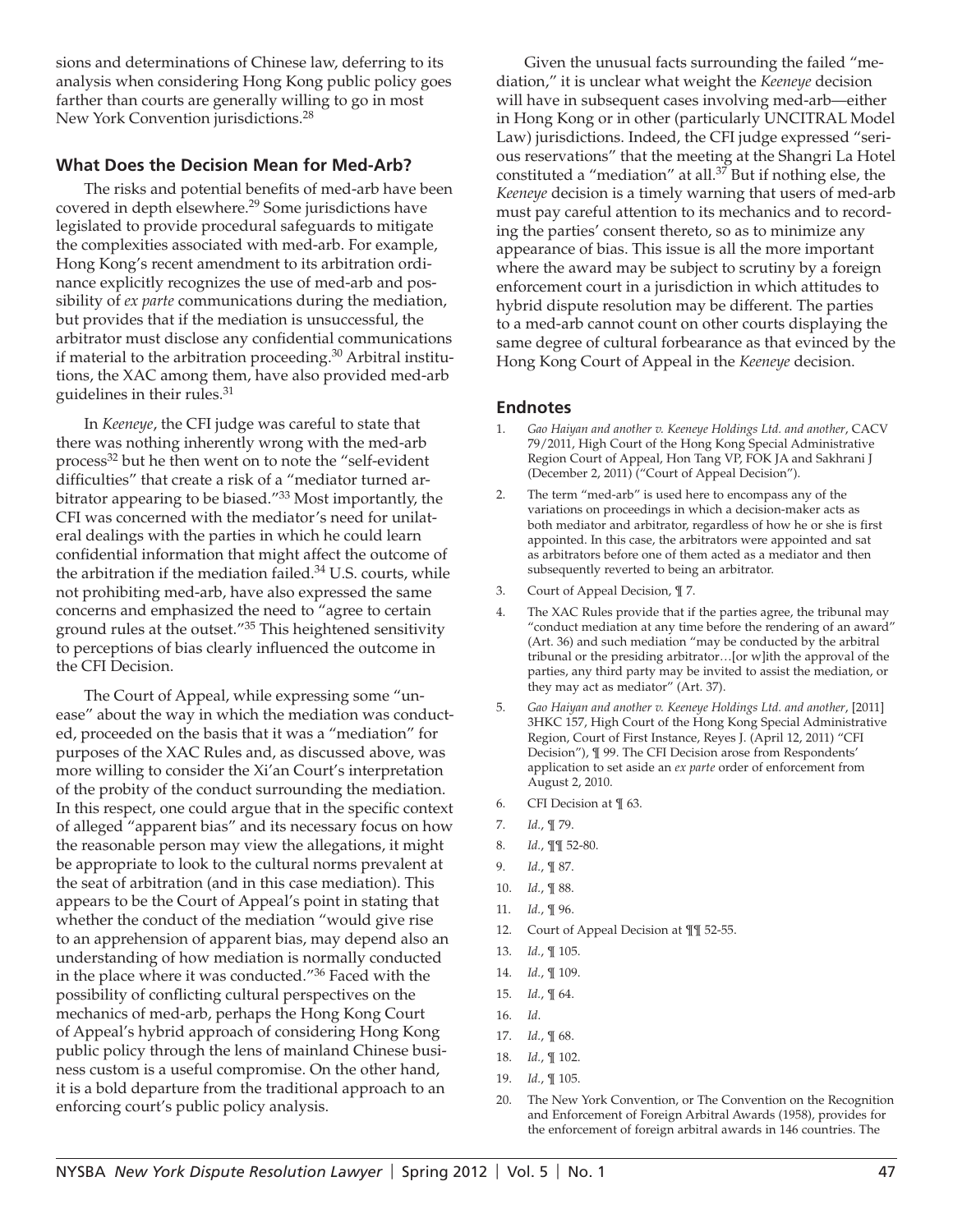sions and determinations of Chinese law, deferring to its analysis when considering Hong Kong public policy goes farther than courts are generally willing to go in most New York Convention jurisdictions.<sup>28</sup>

### **What Does the Decision Mean for Med-Arb?**

The risks and potential benefits of med-arb have been covered in depth elsewhere.<sup>29</sup> Some jurisdictions have legislated to provide procedural safeguards to mitigate the complexities associated with med-arb. For example, Hong Kong's recent amendment to its arbitration ordinance explicitly recognizes the use of med-arb and possibility of *ex parte* communications during the mediation, but provides that if the mediation is unsuccessful, the arbitrator must disclose any confidential communications if material to the arbitration proceeding.<sup>30</sup> Arbitral institutions, the XAC among them, have also provided med-arb guidelines in their rules.<sup>31</sup>

In *Keeneye*, the CFI judge was careful to state that there was nothing inherently wrong with the med-arb process<sup>32</sup> but he then went on to note the "self-evident difficulties" that create a risk of a "mediator turned arbitrator appearing to be biased."<sup>33</sup> Most importantly, the CFI was concerned with the mediator's need for unilateral dealings with the parties in which he could learn confidential information that might affect the outcome of the arbitration if the mediation failed.<sup>34</sup> U.S. courts, while not prohibiting med-arb, have also expressed the same concerns and emphasized the need to "agree to certain ground rules at the outset."<sup>35</sup> This heightened sensitivity to perceptions of bias clearly influenced the outcome in the CFI Decision.

The Court of Appeal, while expressing some "unease" about the way in which the mediation was conducted, proceeded on the basis that it was a "mediation" for purposes of the XAC Rules and, as discussed above, was more willing to consider the Xi'an Court's interpretation of the probity of the conduct surrounding the mediation. In this respect, one could argue that in the specific context of alleged "apparent bias" and its necessary focus on how the reasonable person may view the allegations, it might be appropriate to look to the cultural norms prevalent at the seat of arbitration (and in this case mediation). This appears to be the Court of Appeal's point in stating that whether the conduct of the mediation "would give rise to an apprehension of apparent bias, may depend also an understanding of how mediation is normally conducted in the place where it was conducted."36 Faced with the possibility of conflicting cultural perspectives on the mechanics of med-arb, perhaps the Hong Kong Court of Appeal's hybrid approach of considering Hong Kong public policy through the lens of mainland Chinese business custom is a useful compromise. On the other hand, it is a bold departure from the traditional approach to an enforcing court's public policy analysis.

Given the unusual facts surrounding the failed "mediation," it is unclear what weight the *Keeneye* decision will have in subsequent cases involving med-arb—either in Hong Kong or in other (particularly UNCITRAL Model Law) jurisdictions. Indeed, the CFI judge expressed "serious reservations" that the meeting at the Shangri La Hotel constituted a "mediation" at all.<sup>37</sup> But if nothing else, the *Keeneye* decision is a timely warning that users of med-arb must pay careful attention to its mechanics and to recording the parties' consent thereto, so as to minimize any appearance of bias. This issue is all the more important where the award may be subject to scrutiny by a foreign enforcement court in a jurisdiction in which attitudes to hybrid dispute resolution may be different. The parties to a med-arb cannot count on other courts displaying the same degree of cultural forbearance as that evinced by the Hong Kong Court of Appeal in the *Keeneye* decision.

#### **Endnotes**

- 1. *Gao Haiyan and another v. Keeneye Holdings Ltd. and another*, CACV 79/2011, High Court of the Hong Kong Special Administrative Region Court of Appeal, Hon Tang VP, FOK JA and Sakhrani J (December 2, 2011) ("Court of Appeal Decision").
- 2. The term "med-arb" is used here to encompass any of the variations on proceedings in which a decision-maker acts as both mediator and arbitrator, regardless of how he or she is first appointed. In this case, the arbitrators were appointed and sat as arbitrators before one of them acted as a mediator and then subsequently reverted to being an arbitrator.
- 3. Court of Appeal Decision, ¶ 7.
- The XAC Rules provide that if the parties agree, the tribunal may "conduct mediation at any time before the rendering of an award" (Art. 36) and such mediation "may be conducted by the arbitral tribunal or the presiding arbitrator…[or w]ith the approval of the parties, any third party may be invited to assist the mediation, or they may act as mediator" (Art. 37).
- 5. *Gao Haiyan and another v. Keeneye Holdings Ltd. and another*, [2011] 3HKC 157, High Court of the Hong Kong Special Administrative Region, Court of First Instance, Reyes J. (April 12, 2011) "CFI Decision"), ¶ 99. The CFI Decision arose from Respondents' application to set aside an *ex parte* order of enforcement from August 2, 2010.
- 6. CFI Decision at ¶ 63.
- 7. *Id.*, ¶ 79.
- 8. *Id.*, ¶¶ 52-80.
- 9. *Id.*, ¶ 87.
- 10. *Id.*, ¶ 88.
- 11. *Id.*, ¶ 96.
- 12. Court of Appeal Decision at ¶¶ 52-55.
- 13. *Id.*, ¶ 105.
- 14. *Id.*, ¶ 109.
- 15. *Id.*, ¶ 64.
- 16. *Id*.
- 17. *Id.*, ¶ 68.
- 18. *Id.*, ¶ 102.
- 19. *Id.*, ¶ 105.
- 20. The New York Convention, or The Convention on the Recognition and Enforcement of Foreign Arbitral Awards (1958), provides for the enforcement of foreign arbitral awards in 146 countries. The